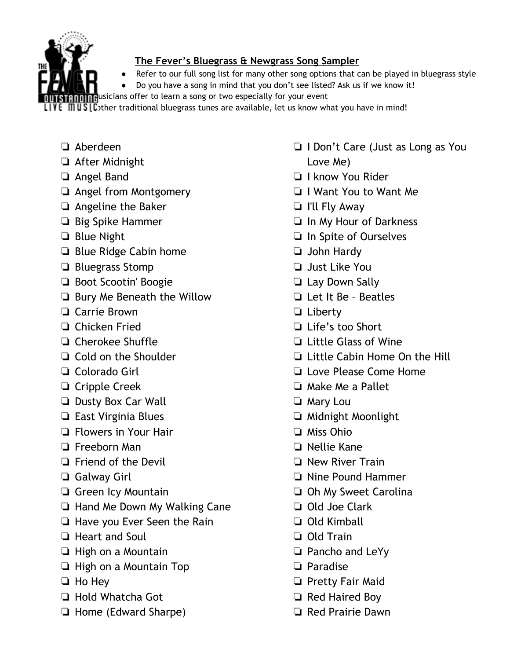

## **The Fever's Bluegrass & Newgrass Song Sampler**

- Refer to our full song list for many other song options that can be played in bluegrass style
- Do you have a song in mind that you don't see listed? Ask us if we know it!

Thusicians offer to learn a song or two especially for your event

**MUSI C**other traditional bluegrass tunes are available, let us know what you have in mind!

- ❏ Aberdeen
- ❏ After Midnight
- ❏ Angel Band
- ❏ Angel from Montgomery
- ❏ Angeline the Baker
- ❏ Big Spike Hammer
- ❏ Blue Night
- ❏ Blue Ridge Cabin home
- ❏ Bluegrass Stomp
- ❏ Boot Scootin' Boogie
- ❏ Bury Me Beneath the Willow
- ❏ Carrie Brown
- ❏ Chicken Fried
- ❏ Cherokee Shuffle
- ❏ Cold on the Shoulder
- ❏ Colorado Girl
- ❏ Cripple Creek
- ❏ Dusty Box Car Wall
- ❏ East Virginia Blues
- ❏ Flowers in Your Hair
- ❏ Freeborn Man
- ❏ Friend of the Devil
- ❏ Galway Girl
- ❏ Green Icy Mountain
- ❏ Hand Me Down My Walking Cane
- ❏ Have you Ever Seen the Rain
- ❏ Heart and Soul
- ❏ High on a Mountain
- ❏ High on a Mountain Top
- ❏ Ho Hey
- ❏ Hold Whatcha Got
- ❏ Home (Edward Sharpe)
- ❏ I Don't Care (Just as Long as You Love Me)
- ❏ I know You Rider
- ❏ I Want You to Want Me
- ❏ I'll Fly Away
- ❏ In My Hour of Darkness
- ❏ In Spite of Ourselves
- ❏ John Hardy
- ❏ Just Like You
- ❏ Lay Down Sally
- ❏ Let It Be Beatles
- ❏ Liberty
- ❏ Life's too Short
- ❏ Little Glass of Wine
- ❏ Little Cabin Home On the Hill
- ❏ Love Please Come Home
- ❏ Make Me a Pallet
- ❏ Mary Lou
- ❏ Midnight Moonlight
- ❏ Miss Ohio
- ❏ Nellie Kane
- ❏ New River Train
- ❏ Nine Pound Hammer
- ❏ Oh My Sweet Carolina
- ❏ Old Joe Clark
- ❏ Old Kimball
- ❏ Old Train
- ❏ Pancho and LeYy
- ❏ Paradise
- ❏ Pretty Fair Maid
- ❏ Red Haired Boy
- ❏ Red Prairie Dawn